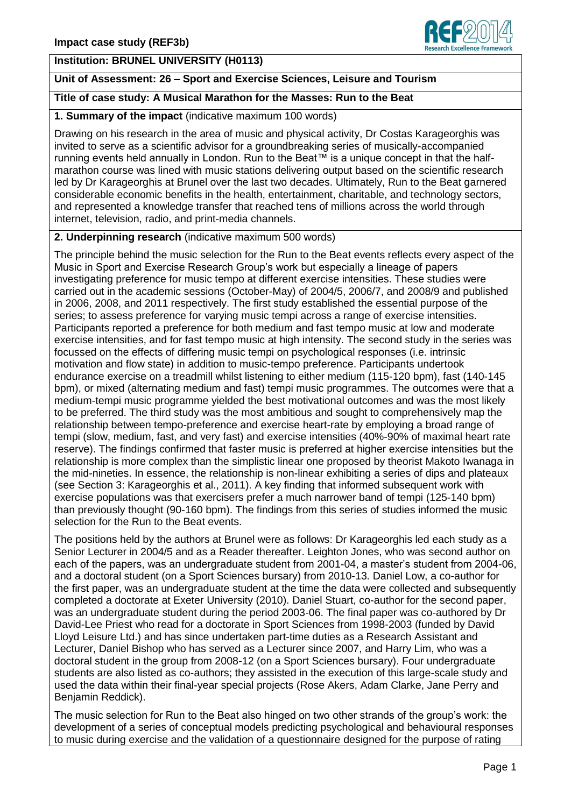# **Institution: BRUNEL UNIVERSITY (H0113)**

# **Unit of Assessment: 26 – Sport and Exercise Sciences, Leisure and Tourism**

#### **Title of case study: A Musical Marathon for the Masses: Run to the Beat**

#### **1. Summary of the impact** (indicative maximum 100 words)

Drawing on his research in the area of music and physical activity, Dr Costas Karageorghis was invited to serve as a scientific advisor for a groundbreaking series of musically-accompanied running events held annually in London. Run to the Beat™ is a unique concept in that the halfmarathon course was lined with music stations delivering output based on the scientific research led by Dr Karageorghis at Brunel over the last two decades. Ultimately, Run to the Beat garnered considerable economic benefits in the health, entertainment, charitable, and technology sectors, and represented a knowledge transfer that reached tens of millions across the world through internet, television, radio, and print-media channels.

### **2. Underpinning research** (indicative maximum 500 words)

The principle behind the music selection for the Run to the Beat events reflects every aspect of the Music in Sport and Exercise Research Group's work but especially a lineage of papers investigating preference for music tempo at different exercise intensities. These studies were carried out in the academic sessions (October-May) of 2004/5, 2006/7, and 2008/9 and published in 2006, 2008, and 2011 respectively. The first study established the essential purpose of the series; to assess preference for varying music tempi across a range of exercise intensities. Participants reported a preference for both medium and fast tempo music at low and moderate exercise intensities, and for fast tempo music at high intensity. The second study in the series was focussed on the effects of differing music tempi on psychological responses (i.e. intrinsic motivation and flow state) in addition to music-tempo preference. Participants undertook endurance exercise on a treadmill whilst listening to either medium (115-120 bpm), fast (140-145 bpm), or mixed (alternating medium and fast) tempi music programmes. The outcomes were that a medium-tempi music programme yielded the best motivational outcomes and was the most likely to be preferred. The third study was the most ambitious and sought to comprehensively map the relationship between tempo-preference and exercise heart-rate by employing a broad range of tempi (slow, medium, fast, and very fast) and exercise intensities (40%-90% of maximal heart rate reserve). The findings confirmed that faster music is preferred at higher exercise intensities but the relationship is more complex than the simplistic linear one proposed by theorist Makoto Iwanaga in the mid-nineties. In essence, the relationship is non-linear exhibiting a series of dips and plateaux (see Section 3: Karageorghis et al., 2011). A key finding that informed subsequent work with exercise populations was that exercisers prefer a much narrower band of tempi (125-140 bpm) than previously thought (90-160 bpm). The findings from this series of studies informed the music selection for the Run to the Beat events.

The positions held by the authors at Brunel were as follows: Dr Karageorghis led each study as a Senior Lecturer in 2004/5 and as a Reader thereafter. Leighton Jones, who was second author on each of the papers, was an undergraduate student from 2001-04, a master's student from 2004-06, and a doctoral student (on a Sport Sciences bursary) from 2010-13. Daniel Low, a co-author for the first paper, was an undergraduate student at the time the data were collected and subsequently completed a doctorate at Exeter University (2010). Daniel Stuart, co-author for the second paper, was an undergraduate student during the period 2003-06. The final paper was co-authored by Dr David-Lee Priest who read for a doctorate in Sport Sciences from 1998-2003 (funded by David Lloyd Leisure Ltd.) and has since undertaken part-time duties as a Research Assistant and Lecturer, Daniel Bishop who has served as a Lecturer since 2007, and Harry Lim, who was a doctoral student in the group from 2008-12 (on a Sport Sciences bursary). Four undergraduate students are also listed as co-authors; they assisted in the execution of this large-scale study and used the data within their final-year special projects (Rose Akers, Adam Clarke, Jane Perry and Benjamin Reddick).

The music selection for Run to the Beat also hinged on two other strands of the group's work: the development of a series of conceptual models predicting psychological and behavioural responses to music during exercise and the validation of a questionnaire designed for the purpose of rating

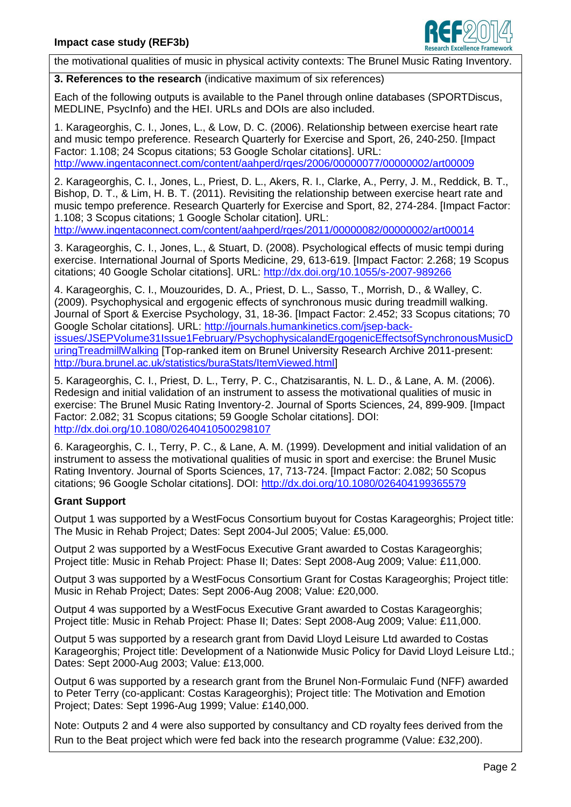

the motivational qualities of music in physical activity contexts: The Brunel Music Rating Inventory.

**3. References to the research** (indicative maximum of six references)

Each of the following outputs is available to the Panel through online databases (SPORTDiscus, MEDLINE, PsycInfo) and the HEI. URLs and DOIs are also included.

1. Karageorghis, C. I., Jones, L., & Low, D. C. (2006). Relationship between exercise heart rate and music tempo preference. Research Quarterly for Exercise and Sport, 26, 240-250. [Impact Factor: 1.108; 24 Scopus citations; 53 Google Scholar citations]. URL: <http://www.ingentaconnect.com/content/aahperd/rqes/2006/00000077/00000002/art00009>

2. Karageorghis, C. I., Jones, L., Priest, D. L., Akers, R. I., Clarke, A., Perry, J. M., Reddick, B. T., Bishop, D. T., & Lim, H. B. T. (2011). Revisiting the relationship between exercise heart rate and music tempo preference. Research Quarterly for Exercise and Sport, 82, 274-284. [Impact Factor: 1.108; 3 Scopus citations; 1 Google Scholar citation]. URL: <http://www.ingentaconnect.com/content/aahperd/rqes/2011/00000082/00000002/art00014>

3. Karageorghis, C. I., Jones, L., & Stuart, D. (2008). Psychological effects of music tempi during exercise. International Journal of Sports Medicine, 29, 613-619. [Impact Factor: 2.268; 19 Scopus citations; 40 Google Scholar citations]. URL: <http://dx.doi.org/10.1055/s-2007-989266>

4. Karageorghis, C. I., Mouzourides, D. A., Priest, D. L., Sasso, T., Morrish, D., & Walley, C. (2009). Psychophysical and ergogenic effects of synchronous music during treadmill walking. Journal of Sport & Exercise Psychology, 31, 18-36. [Impact Factor: 2.452; 33 Scopus citations; 70 Google Scholar citations]. URL: [http://journals.humankinetics.com/jsep-back](http://journals.humankinetics.com/jsep-back-issues/JSEPVolume31Issue1February/PsychophysicalandErgogenicEffectsofSynchronousMusicDuringTreadmillWalking)[issues/JSEPVolume31Issue1February/PsychophysicalandErgogenicEffectsofSynchronousMusicD](http://journals.humankinetics.com/jsep-back-issues/JSEPVolume31Issue1February/PsychophysicalandErgogenicEffectsofSynchronousMusicDuringTreadmillWalking) [uringTreadmillWalking](http://journals.humankinetics.com/jsep-back-issues/JSEPVolume31Issue1February/PsychophysicalandErgogenicEffectsofSynchronousMusicDuringTreadmillWalking) [Top-ranked item on Brunel University Research Archive 2011-present: http://bura.brunel.ac.uk/statistics/buraStats/ItemViewed.htmll

5. Karageorghis, C. I., Priest, D. L., Terry, P. C., Chatzisarantis, N. L. D., & Lane, A. M. (2006). Redesign and initial validation of an instrument to assess the motivational qualities of music in exercise: The Brunel Music Rating Inventory-2. Journal of Sports Sciences, 24, 899-909. [Impact Factor: 2.082; 31 Scopus citations; 59 Google Scholar citations]. DOI: <http://dx.doi.org/10.1080/02640410500298107>

6. Karageorghis, C. I., Terry, P. C., & Lane, A. M. (1999). Development and initial validation of an instrument to assess the motivational qualities of music in sport and exercise: the Brunel Music Rating Inventory. Journal of Sports Sciences, 17, 713-724. [Impact Factor: 2.082; 50 Scopus citations; 96 Google Scholar citations]. DOI: <http://dx.doi.org/10.1080/026404199365579>

# **Grant Support**

Output 1 was supported by a WestFocus Consortium buyout for Costas Karageorghis; Project title: The Music in Rehab Project; Dates: Sept 2004-Jul 2005; Value: £5,000.

Output 2 was supported by a WestFocus Executive Grant awarded to Costas Karageorghis; Project title: Music in Rehab Project: Phase II; Dates: Sept 2008-Aug 2009; Value: £11,000.

Output 3 was supported by a WestFocus Consortium Grant for Costas Karageorghis; Project title: Music in Rehab Project; Dates: Sept 2006-Aug 2008; Value: £20,000.

Output 4 was supported by a WestFocus Executive Grant awarded to Costas Karageorghis; Project title: Music in Rehab Project: Phase II; Dates: Sept 2008-Aug 2009; Value: £11,000.

Output 5 was supported by a research grant from David Lloyd Leisure Ltd awarded to Costas Karageorghis; Project title: Development of a Nationwide Music Policy for David Lloyd Leisure Ltd.; Dates: Sept 2000-Aug 2003; Value: £13,000.

Output 6 was supported by a research grant from the Brunel Non-Formulaic Fund (NFF) awarded to Peter Terry (co-applicant: Costas Karageorghis); Project title: The Motivation and Emotion Project; Dates: Sept 1996-Aug 1999; Value: £140,000.

Note: Outputs 2 and 4 were also supported by consultancy and CD royalty fees derived from the Run to the Beat project which were fed back into the research programme (Value: £32,200).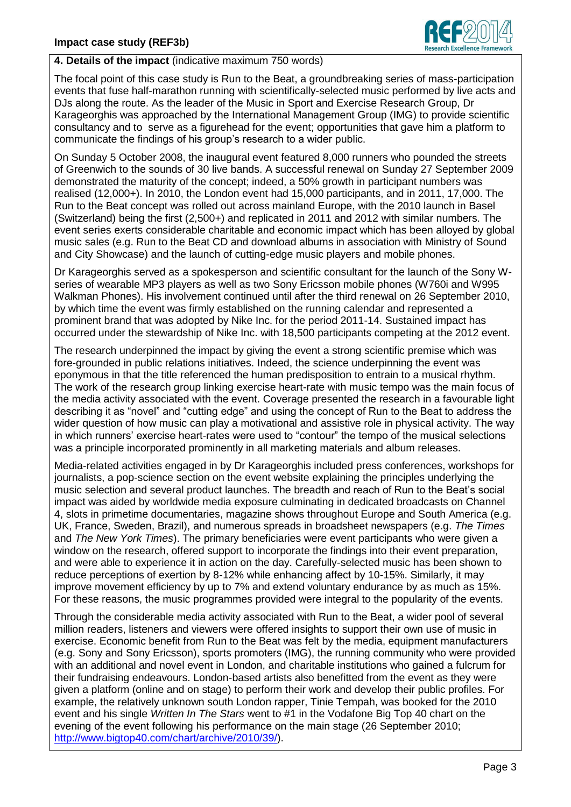

# **4. Details of the impact** (indicative maximum 750 words)

The focal point of this case study is Run to the Beat, a groundbreaking series of mass-participation events that fuse half-marathon running with scientifically-selected music performed by live acts and DJs along the route. As the leader of the Music in Sport and Exercise Research Group, Dr Karageorghis was approached by the International Management Group (IMG) to provide scientific consultancy and to serve as a figurehead for the event; opportunities that gave him a platform to communicate the findings of his group's research to a wider public.

On Sunday 5 October 2008, the inaugural event featured 8,000 runners who pounded the streets of Greenwich to the sounds of 30 live bands. A successful renewal on Sunday 27 September 2009 demonstrated the maturity of the concept; indeed, a 50% growth in participant numbers was realised (12,000+). In 2010, the London event had 15,000 participants, and in 2011, 17,000. The Run to the Beat concept was rolled out across mainland Europe, with the 2010 launch in Basel (Switzerland) being the first (2,500+) and replicated in 2011 and 2012 with similar numbers. The event series exerts considerable charitable and economic impact which has been alloyed by global music sales (e.g. Run to the Beat CD and download albums in association with Ministry of Sound and City Showcase) and the launch of cutting-edge music players and mobile phones.

Dr Karageorghis served as a spokesperson and scientific consultant for the launch of the Sony Wseries of wearable MP3 players as well as two Sony Ericsson mobile phones (W760i and W995 Walkman Phones). His involvement continued until after the third renewal on 26 September 2010, by which time the event was firmly established on the running calendar and represented a prominent brand that was adopted by Nike Inc. for the period 2011-14. Sustained impact has occurred under the stewardship of Nike Inc. with 18,500 participants competing at the 2012 event.

The research underpinned the impact by giving the event a strong scientific premise which was fore-grounded in public relations initiatives. Indeed, the science underpinning the event was eponymous in that the title referenced the human predisposition to entrain to a musical rhythm. The work of the research group linking exercise heart-rate with music tempo was the main focus of the media activity associated with the event. Coverage presented the research in a favourable light describing it as "novel" and "cutting edge" and using the concept of Run to the Beat to address the wider question of how music can play a motivational and assistive role in physical activity. The way in which runners' exercise heart-rates were used to "contour" the tempo of the musical selections was a principle incorporated prominently in all marketing materials and album releases.

Media-related activities engaged in by Dr Karageorghis included press conferences, workshops for journalists, a pop-science section on the event website explaining the principles underlying the music selection and several product launches. The breadth and reach of Run to the Beat's social impact was aided by worldwide media exposure culminating in dedicated broadcasts on Channel 4, slots in primetime documentaries, magazine shows throughout Europe and South America (e.g. UK, France, Sweden, Brazil), and numerous spreads in broadsheet newspapers (e.g. *The Times* and *The New York Times*). The primary beneficiaries were event participants who were given a window on the research, offered support to incorporate the findings into their event preparation, and were able to experience it in action on the day. Carefully-selected music has been shown to reduce perceptions of exertion by 8-12% while enhancing affect by 10-15%. Similarly, it may improve movement efficiency by up to 7% and extend voluntary endurance by as much as 15%. For these reasons, the music programmes provided were integral to the popularity of the events.

Through the considerable media activity associated with Run to the Beat, a wider pool of several million readers, listeners and viewers were offered insights to support their own use of music in exercise. Economic benefit from Run to the Beat was felt by the media, equipment manufacturers (e.g. Sony and Sony Ericsson), sports promoters (IMG), the running community who were provided with an additional and novel event in London, and charitable institutions who gained a fulcrum for their fundraising endeavours. London-based artists also benefitted from the event as they were given a platform (online and on stage) to perform their work and develop their public profiles. For example, the relatively unknown south London rapper, Tinie Tempah, was booked for the 2010 event and his single *Written In The Stars* went to #1 in the Vodafone Big Top 40 chart on the evening of the event following his performance on the main stage (26 September 2010; [http://www.bigtop40.com/chart/archive/2010/39/\)](http://www.bigtop40.com/chart/archive/2010/39/).